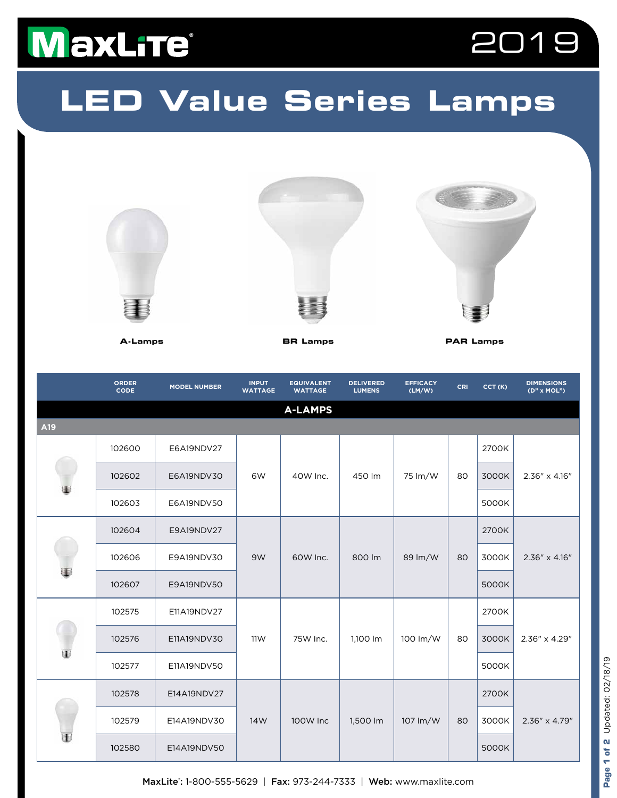## MaxLite®



## **LED Value Series Lamps**



|     | <b>ORDER</b><br>CODE | <b>MODEL NUMBER</b> | <b>INPUT</b><br><b>WATTAGE</b> | <b>EQUIVALENT</b><br><b>WATTAGE</b> | <b>DELIVERED</b><br><b>LUMENS</b> | <b>EFFICACY</b><br>(LM/W) | CRI | CCT(K) | <b>DIMENSIONS</b><br>(D" x MOL") |
|-----|----------------------|---------------------|--------------------------------|-------------------------------------|-----------------------------------|---------------------------|-----|--------|----------------------------------|
|     |                      |                     |                                | <b>A-LAMPS</b>                      |                                   |                           |     |        |                                  |
| A19 |                      |                     |                                |                                     |                                   |                           |     |        |                                  |
|     | 102600               | E6A19NDV27          | 6W                             | 40W Inc.                            | 450 lm                            | 75 lm/W                   | 80  | 2700K  | 2.36" x 4.16"                    |
|     | 102602               | E6A19NDV30          |                                |                                     |                                   |                           |     | 3000K  |                                  |
|     | 102603               | E6A19NDV50          |                                |                                     |                                   |                           |     | 5000K  |                                  |
| Ŧ   | 102604               | E9A19NDV27          | 9W                             | 60W Inc.                            | 800 lm                            | 89 lm/W                   | 80  | 2700K  | 2.36" x 4.16"                    |
|     | 102606               | E9A19NDV30          |                                |                                     |                                   |                           |     | 3000K  |                                  |
|     | 102607               | E9A19NDV50          |                                |                                     |                                   |                           |     | 5000K  |                                  |
| T   | 102575               | E11A19NDV27         | 11W                            | 75W Inc.                            | 1,100 lm                          | 100 lm/W                  | 80  | 2700K  | 2.36" x 4.29"                    |
|     | 102576               | E11A19NDV30         |                                |                                     |                                   |                           |     | 3000K  |                                  |
|     | 102577               | E11A19NDV50         |                                |                                     |                                   |                           |     | 5000K  |                                  |
| ₩   | 102578               | E14A19NDV27         | 14W                            | 100W Inc                            | 1,500 lm                          | 107 lm/W                  | 80  | 2700K  |                                  |
|     | 102579               | E14A19NDV30         |                                |                                     |                                   |                           |     | 3000K  | 2.36" x 4.79"                    |
|     | 102580               | E14A19NDV50         |                                |                                     |                                   |                           |     | 5000K  |                                  |